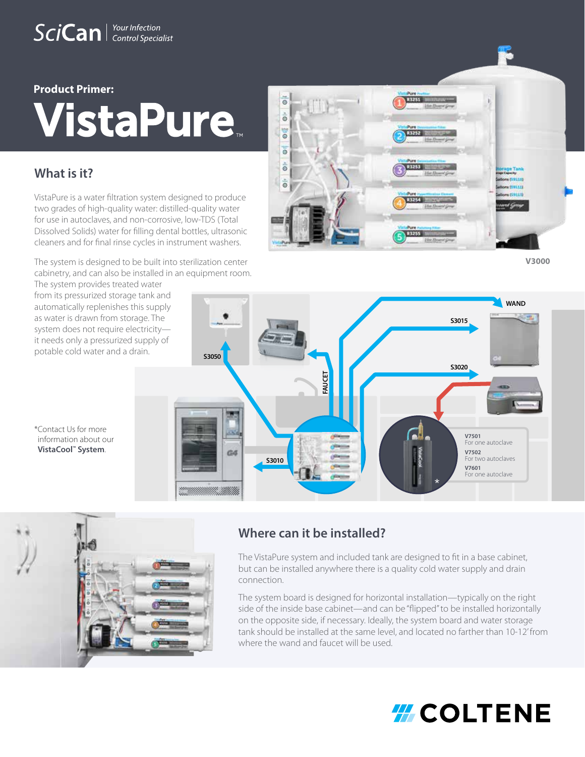# SciCan | Your Infection

# **Product Primer: VistaPure**

# **What is it?**

VistaPure is a water filtration system designed to produce two grades of high-quality water: distilled-quality water for use in autoclaves, and non-corrosive, low-TDS (Total Dissolved Solids) water for filling dental bottles, ultrasonic cleaners and for final rinse cycles in instrument washers.

The system is designed to be built into sterilization center cabinetry, and can also be installed in an equipment room.

The system provides treated water from its pressurized storage tank and automatically replenishes this supply as water is drawn from storage. The system does not require electricity it needs only a pressurized supply of potable cold water and a drain.

 $\overline{e}$  $\frac{1}{\Theta}$ od<sub>i</sub> 1252 ō  $\frac{1}{6}$  $\dot{\bar{\circ}}$ 

**V3000**







# **Where can it be installed?**

The VistaPure system and included tank are designed to fit in a base cabinet, but can be installed anywhere there is a quality cold water supply and drain connection.

The system board is designed for horizontal installation—typically on the right side of the inside base cabinet—and can be "flipped" to be installed horizontally on the opposite side, if necessary. Ideally, the system board and water storage tank should be installed at the same level, and located no farther than 10-12' from where the wand and faucet will be used.

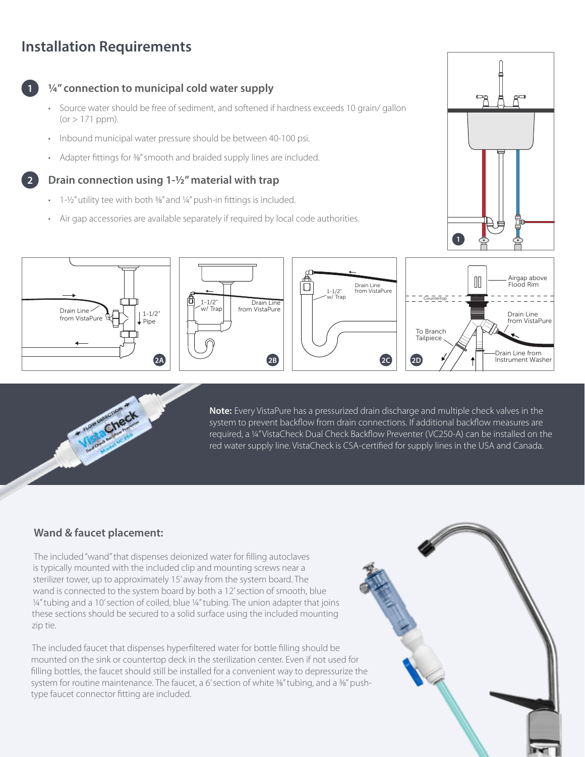# **Installation Requirements**



**2**

# **¼" connection to municipal cold water supply**

- Source water should be free of sediment, and softened if hardness exceeds 10 grain/ gallon  $(or > 171$  ppm).
- Inbound municipal water pressure should be between 40-100 psi.
- Adapter fittings for 3%" smooth and braided supply lines are included.

## **Drain connection using 1-½" material with trap**

- $\cdot$  1-1/2" utility tee with both  $\frac{3}{8}$ " and  $\frac{1}{4}$ " push-in fittings is included.
- Air gap accessories are available separately if required by local code authorities.













**Note:** Every VistaPure has a pressurized drain discharge and multiple check valves in the system to prevent backflow from drain connections. If additional backflow measures are required, a ¼" VistaCheck Dual Check Backflow Preventer (VC250-A) can be installed on the red water supply line. VistaCheck is CSA-certified for supply lines in the USA and Canada.

## **Wand & faucet placement:**

The included "wand" that dispenses deionized water for filling autoclaves is typically mounted with the included clip and mounting screws near a sterilizer tower, up to approximately 15' away from the system board. The wand is connected to the system board by both a 12' section of smooth, blue ¼" tubing and a 10' section of coiled, blue 1/4" tubing. The union adapter that joins these sections should be secured to a solid surface using the included mounting zip tie.

The included faucet that dispenses hyperfiltered water for bottle filling should be mounted on the sink or countertop deck in the sterilization center. Even if not used for filling bottles, the faucet should still be installed for a convenient way to depressurize the system for routine maintenance. The faucet, a 6' section of white 3%" tubing, and a 3%" pushtype faucet connector fitting are included.

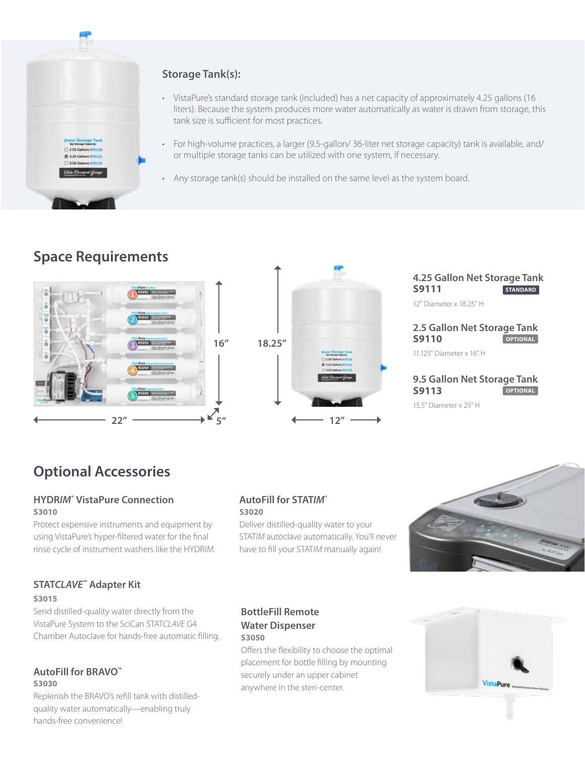

# **Storage Tank(s):**

- VistaPure's standard storage tank (included) has a net capacity of approximately 4.25 gallons (16 liters). Because the system produces more water automatically as water is drawn from storage, this tank size is sufficient for most practices.
- For high-volume practices, a larger (9.5-gallon/ 36-liter net storage capacity) tank is available, and/ or multiple storage tanks can be utilized with one system, if necessary.
- Any storage tank(s) should be installed on the same level as the system board.

# **Space Requirements**





### **4.25 Gallon Net Storage Tank S9111** 12" Diameter x 18.25" H **STANDARD**

#### **2.5 Gallon Net Storage Tank S9110 OPTIONAL**

11.125" Diameter x 16" H

#### **9.5 Gallon Net Storage Tank S9113 OPTIONAL**

15.5" Diameter x 25" H

# **Optional Accessories**

### **HYDR***IM***® VistaPure Connection S3010**

Protect expensive instruments and equipment by using VistaPure's hyper-filtered water for the final rinse cycle of instrument washers like the HYDR*IM*.

### **AutoFill for STAT***IM***® S3020**

Deliver distilled-quality water to your STAT*IM* autoclave automatically. You'll never have to fill your STAT*IM* manually again!



# **STAT***CLAVE***™ Adapter Kit**

### **S3015**

Send distilled-quality water directly from the VistaPure System to the SciCan STAT*CLAVE* G4 Chamber Autoclave for hands-free automatic filling.

### **AutoFill for BRAVO™ S3030**

Replenish the BRAVO's refill tank with distilledquality water automatically—enabling truly hands-free convenience!

## **BottleFill Remote Water Dispenser S3050**

Offers the flexibility to choose the optimal placement for bottle filling by mounting securely under an upper cabinet anywhere in the steri-center.